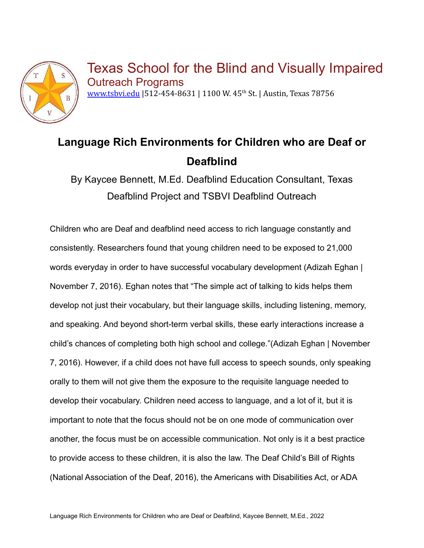

Texas School for the Blind and Visually Impaired Outreach Programs [www.tsbvi.edu](http://www.tsbvi.edu) | 512-454-8631 | 1100 W. 45<sup>th</sup> St. | Austin, Texas 78756

# **Language Rich Environments for Children who are Deaf or Deafblind**

By Kaycee Bennett, M.Ed. Deafblind Education Consultant, Texas Deafblind Project and TSBVI Deafblind Outreach

Children who are Deaf and deafblind need access to rich language constantly and consistently. Researchers found that young children need to be exposed to 21,000 words everyday in order to have successful vocabulary development (Adizah Eghan | November 7, 2016). Eghan notes that "The simple act of talking to kids helps them develop not just their vocabulary, but their language skills, including listening, memory, and speaking. And beyond short-term verbal skills, these early interactions increase a child's chances of completing both high school and college."(Adizah Eghan | November 7, 2016). However, if a child does not have full access to speech sounds, only speaking orally to them will not give them the exposure to the requisite language needed to develop their vocabulary. Children need access to language, and a lot of it, but it is important to note that the focus should not be on one mode of communication over another, the focus must be on accessible communication. Not only is it a best practice to provide access to these children, it is also the law. The Deaf Child's Bill of Rights (National Association of the Deaf, 2016), the Americans with Disabilities Act, or ADA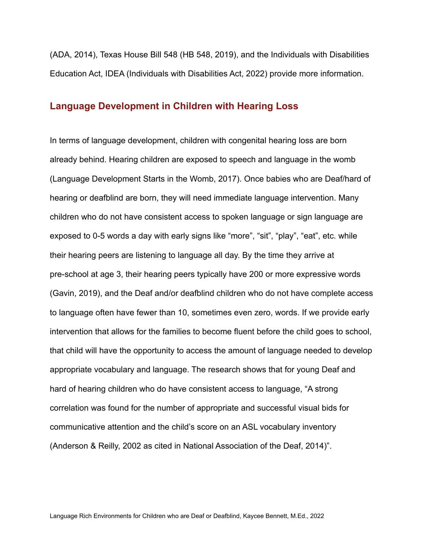(ADA, 2014), Texas House Bill 548 (HB 548, 2019), and the Individuals with Disabilities Education Act, IDEA (Individuals with Disabilities Act, 2022) provide more information.

#### **Language Development in Children with Hearing Loss**

In terms of language development, children with congenital hearing loss are born already behind. Hearing children are exposed to speech and language in the womb (Language Development Starts in the Womb, 2017). Once babies who are Deaf/hard of hearing or deafblind are born, they will need immediate language intervention. Many children who do not have consistent access to spoken language or sign language are exposed to 0-5 words a day with early signs like "more", "sit", "play", "eat", etc. while their hearing peers are listening to language all day. By the time they arrive at pre-school at age 3, their hearing peers typically have 200 or more expressive words (Gavin, 2019), and the Deaf and/or deafblind children who do not have complete access to language often have fewer than 10, sometimes even zero, words. If we provide early intervention that allows for the families to become fluent before the child goes to school, that child will have the opportunity to access the amount of language needed to develop appropriate vocabulary and language. The research shows that for young Deaf and hard of hearing children who do have consistent access to language, "A strong correlation was found for the number of appropriate and successful visual bids for communicative attention and the child's score on an ASL vocabulary inventory (Anderson & Reilly, 2002 as cited in National Association of the Deaf, 2014)".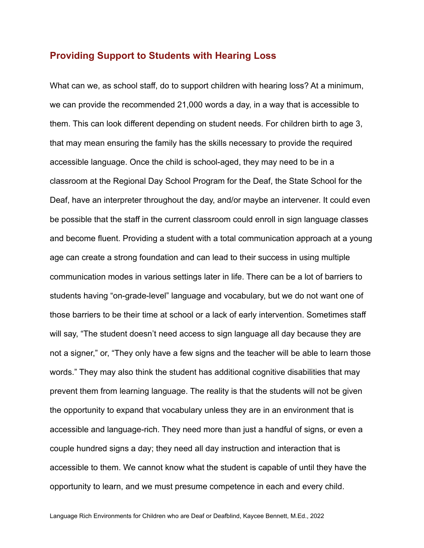#### **Providing Support to Students with Hearing Loss**

What can we, as school staff, do to support children with hearing loss? At a minimum, we can provide the recommended 21,000 words a day, in a way that is accessible to them. This can look different depending on student needs. For children birth to age 3, that may mean ensuring the family has the skills necessary to provide the required accessible language. Once the child is school-aged, they may need to be in a classroom at the Regional Day School Program for the Deaf, the State School for the Deaf, have an interpreter throughout the day, and/or maybe an intervener. It could even be possible that the staff in the current classroom could enroll in sign language classes and become fluent. Providing a student with a total communication approach at a young age can create a strong foundation and can lead to their success in using multiple communication modes in various settings later in life. There can be a lot of barriers to students having "on-grade-level" language and vocabulary, but we do not want one of those barriers to be their time at school or a lack of early intervention. Sometimes staff will say, "The student doesn't need access to sign language all day because they are not a signer," or, "They only have a few signs and the teacher will be able to learn those words." They may also think the student has additional cognitive disabilities that may prevent them from learning language. The reality is that the students will not be given the opportunity to expand that vocabulary unless they are in an environment that is accessible and language-rich. They need more than just a handful of signs, or even a couple hundred signs a day; they need all day instruction and interaction that is accessible to them. We cannot know what the student is capable of until they have the opportunity to learn, and we must presume competence in each and every child.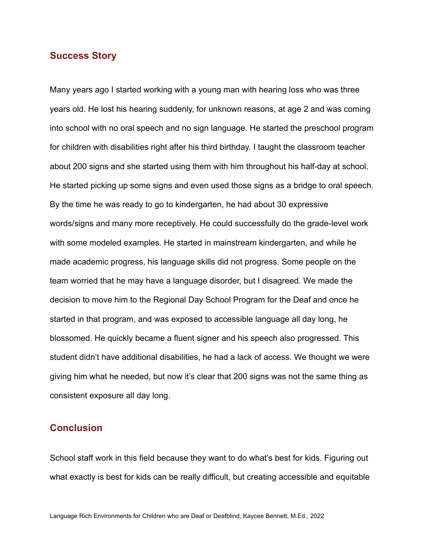#### **Success Story**

Many years ago I started working with a young man with hearing loss who was three years old. He lost his hearing suddenly, for unknown reasons, at age 2 and was coming into school with no oral speech and no sign language. He started the preschool program for children with disabilities right after his third birthday. I taught the classroom teacher about 200 signs and she started using them with him throughout his half-day at school. He started picking up some signs and even used those signs as a bridge to oral speech. By the time he was ready to go to kindergarten, he had about 30 expressive words/signs and many more receptively. He could successfully do the grade-level work with some modeled examples. He started in mainstream kindergarten, and while he made academic progress, his language skills did not progress. Some people on the team worried that he may have a language disorder, but I disagreed. We made the decision to move him to the Regional Day School Program for the Deaf and once he started in that program, and was exposed to accessible language all day long, he blossomed. He quickly became a fluent signer and his speech also progressed. This student didn't have additional disabilities, he had a lack of access. We thought we were giving him what he needed, but now it's clear that 200 signs was not the same thing as consistent exposure all day long.

#### **Conclusion**

School staff work in this field because they want to do what's best for kids. Figuring out what exactly is best for kids can be really difficult, but creating accessible and equitable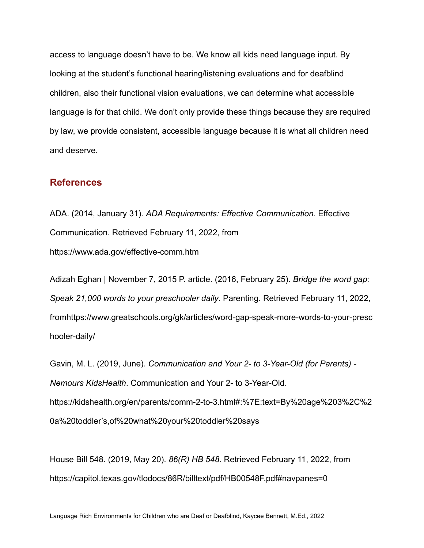access to language doesn't have to be. We know all kids need language input. By looking at the student's functional hearing/listening evaluations and for deafblind children, also their functional vision evaluations, we can determine what accessible language is for that child. We don't only provide these things because they are required by law, we provide consistent, accessible language because it is what all children need and deserve.

#### **References**

ADA. (2014, January 31). *ADA Requirements: Effective Communication*. Effective Communication. Retrieved February 11, 2022, from https://www.ada.gov/effective-comm.htm

Adizah Eghan | November 7, 2015 P. article. (2016, February 25). *Bridge the word gap: Speak 21,000 words to your preschooler daily*. Parenting. Retrieved February 11, 2022, fromhttps://www.greatschools.org/gk/articles/word-gap-speak-more-words-to-your-presc hooler-daily/

Gavin, M. L. (2019, June). *Communication and Your 2- to 3-Year-Old (for Parents) - Nemours KidsHealth*. Communication and Your 2- to 3-Year-Old. https://kidshealth.org/en/parents/comm-2-to-3.html#:%7E:text=By%20age%203%2C%2 0a%20toddler's,of%20what%20your%20toddler%20says

House Bill 548. (2019, May 20). *86(R) HB 548*. Retrieved February 11, 2022, from https://capitol.texas.gov/tlodocs/86R/billtext/pdf/HB00548F.pdf#navpanes=0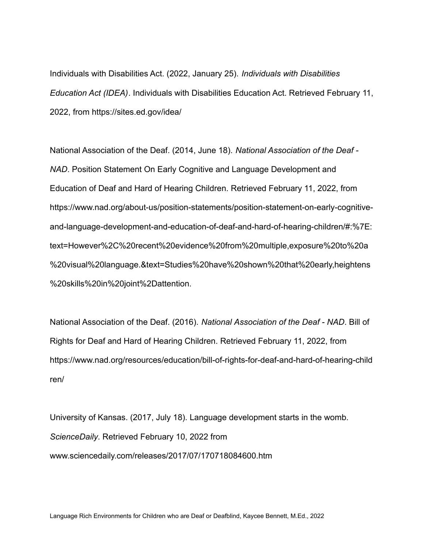Individuals with Disabilities Act. (2022, January 25). *Individuals with Disabilities Education Act (IDEA)*. Individuals with Disabilities Education Act. Retrieved February 11, 2022, from https://sites.ed.gov/idea/

National Association of the Deaf. (2014, June 18). *National Association of the Deaf - NAD*. Position Statement On Early Cognitive and Language Development and Education of Deaf and Hard of Hearing Children. Retrieved February 11, 2022, from https://www.nad.org/about-us/position-statements/position-statement-on-early-cognitiveand-language-development-and-education-of-deaf-and-hard-of-hearing-children/#:%7E: text=However%2C%20recent%20evidence%20from%20multiple,exposure%20to%20a %20visual%20language.&text=Studies%20have%20shown%20that%20early,heightens %20skills%20in%20joint%2Dattention.

National Association of the Deaf. (2016). *National Association of the Deaf - NAD*. Bill of Rights for Deaf and Hard of Hearing Children. Retrieved February 11, 2022, from https://www.nad.org/resources/education/bill-of-rights-for-deaf-and-hard-of-hearing-child ren/

University of Kansas. (2017, July 18). Language development starts in the womb. *ScienceDaily*. Retrieved February 10, 2022 from www.sciencedaily.com/releases/2017/07/170718084600.htm